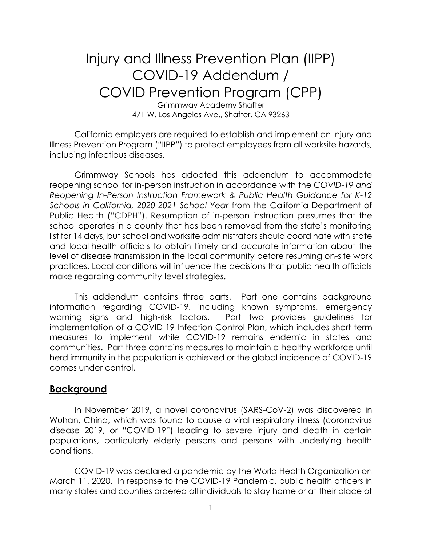# Injury and Illness Prevention Plan (IIPP) COVID-19 Addendum / COVID Prevention Program (CPP)

Grimmway Academy Shafter 471 W. Los Angeles Ave., Shafter, CA 93263

California employers are required to establish and implement an Injury and Illness Prevention Program ("IIPP") to protect employees from all worksite hazards, including infectious diseases.

Grimmway Schools has adopted this addendum to accommodate reopening school for in-person instruction in accordance with the *COVID-19 and Reopening In-Person Instruction Framework & Public Health Guidance for K-12 Schools in California, 2020-2021 School Year* from the California Department of Public Health ("CDPH"). Resumption of in-person instruction presumes that the school operates in a county that has been removed from the state's monitoring list for 14 days, but school and worksite administrators should coordinate with state and local health officials to obtain timely and accurate information about the level of disease transmission in the local community before resuming on-site work practices. Local conditions will influence the decisions that public health officials make regarding community-level strategies.

This addendum contains three parts. Part one contains background information regarding COVID-19, including known symptoms, emergency warning signs and high-risk factors. Part two provides guidelines for implementation of a COVID-19 Infection Control Plan, which includes short-term measures to implement while COVID-19 remains endemic in states and communities. Part three contains measures to maintain a healthy workforce until herd immunity in the population is achieved or the global incidence of COVID-19 comes under control.

## **Background**

In November 2019, a novel coronavirus (SARS-CoV-2) was discovered in Wuhan, China, which was found to cause a viral respiratory illness (coronavirus disease 2019, or "COVID-19") leading to severe injury and death in certain populations, particularly elderly persons and persons with underlying health conditions.

COVID-19 was declared a pandemic by the World Health Organization on March 11, 2020. In response to the COVID-19 Pandemic, public health officers in many states and counties ordered all individuals to stay home or at their place of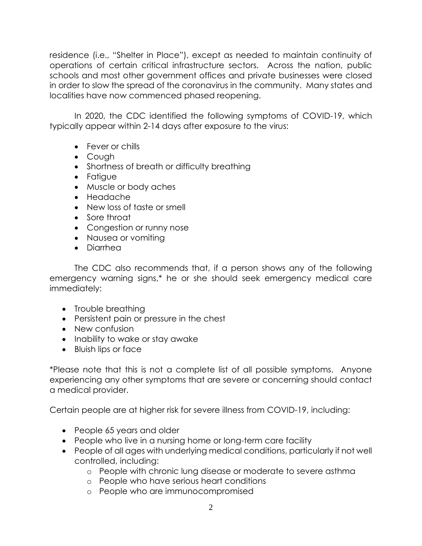residence (i.e., "Shelter in Place"), except as needed to maintain continuity of operations of certain critical infrastructure sectors. Across the nation, public schools and most other government offices and private businesses were closed in order to slow the spread of the coronavirus in the community. Many states and localities have now commenced phased reopening.

In 2020, the CDC identified the following symptoms of COVID-19, which typically appear within 2-14 days after exposure to the virus:

- Fever or chills
- Cough
- Shortness of breath or difficulty breathing
- Fatigue
- Muscle or body aches
- Headache
- New loss of taste or smell
- Sore throat
- Congestion or runny nose
- Nausea or vomiting
- Diarrhea

The CDC also recommends that, if a person shows any of the following emergency warning signs,\* he or she should seek emergency medical care immediately:

- Trouble breathing
- Persistent pain or pressure in the chest
- New confusion
- Inability to wake or stay awake
- Bluish lips or face

\*Please note that this is not a complete list of all possible symptoms. Anyone experiencing any other symptoms that are severe or concerning should contact a medical provider.

Certain people are at higher risk for severe illness from COVID-19, including:

- People 65 years and older
- People who live in a nursing home or long-term care facility
- People of all ages with underlying medical conditions, particularly if not well controlled, including:
	- o People with chronic lung disease or moderate to severe asthma
	- o People who have serious heart conditions
	- o People who are immunocompromised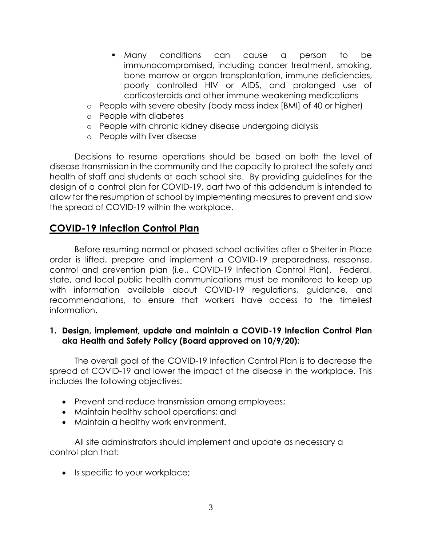- Many conditions can cause a person to be immunocompromised, including cancer treatment, smoking, bone marrow or organ transplantation, immune deficiencies, poorly controlled HIV or AIDS, and prolonged use of corticosteroids and other immune weakening medications
- o People with severe obesity (body mass index [BMI] of 40 or higher)
- o People with diabetes
- o People with chronic kidney disease undergoing dialysis
- o People with liver disease

Decisions to resume operations should be based on both the level of disease transmission in the community and the capacity to protect the safety and health of staff and students at each school site. By providing guidelines for the design of a control plan for COVID-19, part two of this addendum is intended to allow for the resumption of school by implementing measures to prevent and slow the spread of COVID-19 within the workplace.

# **COVID-19 Infection Control Plan**

Before resuming normal or phased school activities after a Shelter in Place order is lifted, prepare and implement a COVID-19 preparedness, response, control and prevention plan (i.e., COVID-19 Infection Control Plan). Federal, state, and local public health communications must be monitored to keep up with information available about COVID-19 regulations, guidance, and recommendations, to ensure that workers have access to the timeliest information.

#### **1. Design, implement, update and maintain a COVID-19 Infection Control Plan aka Health and Safety Policy (Board approved on 10/9/20):**

The overall goal of the COVID-19 Infection Control Plan is to decrease the spread of COVID-19 and lower the impact of the disease in the workplace. This includes the following objectives:

- Prevent and reduce transmission among employees;
- Maintain healthy school operations; and
- Maintain a healthy work environment.

All site administrators should implement and update as necessary a control plan that:

• Is specific to your workplace;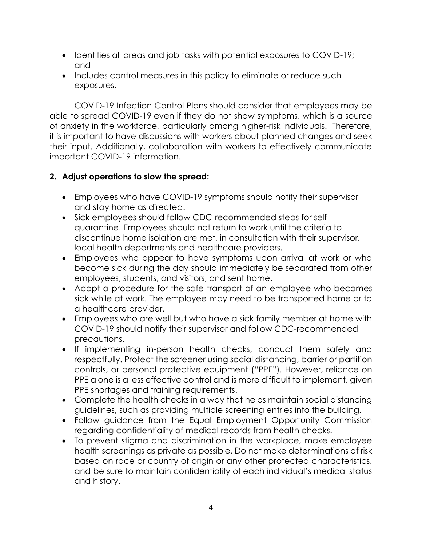- Identifies all areas and job tasks with potential exposures to COVID-19; and
- Includes control measures in this policy to eliminate or reduce such exposures.

COVID-19 Infection Control Plans should consider that employees may be able to spread COVID-19 even if they do not show symptoms, which is a source of anxiety in the workforce, particularly among higher-risk individuals. Therefore, it is important to have discussions with workers about planned changes and seek their input. Additionally, collaboration with workers to effectively communicate important COVID-19 information.

## **2. Adjust operations to slow the spread:**

- Employees who have COVID-19 symptoms should notify their supervisor and stay home as directed.
- Sick employees should follow CDC-recommended steps for selfquarantine. Employees should not return to work until the criteria to discontinue home isolation are met, in consultation with their supervisor, local health departments and healthcare providers.
- Employees who appear to have symptoms upon arrival at work or who become sick during the day should immediately be separated from other employees, students, and visitors, and sent home.
- Adopt a procedure for the safe transport of an employee who becomes sick while at work. The employee may need to be transported home or to a healthcare provider.
- Employees who are well but who have a sick family member at home with COVID-19 should notify their supervisor and follow CDC-recommended precautions.
- If implementing in-person health checks, conduct them safely and respectfully. Protect the screener using social distancing, barrier or partition controls, or personal protective equipment ("PPE"). However, reliance on PPE alone is a less effective control and is more difficult to implement, given PPE shortages and training requirements.
- Complete the health checks in a way that helps maintain social distancing guidelines, such as providing multiple screening entries into the building.
- Follow guidance from the Equal Employment Opportunity Commission regarding confidentiality of medical records from health checks.
- To prevent stigma and discrimination in the workplace, make employee health screenings as private as possible. Do not make determinations of risk based on race or country of origin or any other protected characteristics, and be sure to maintain confidentiality of each individual's medical status and history.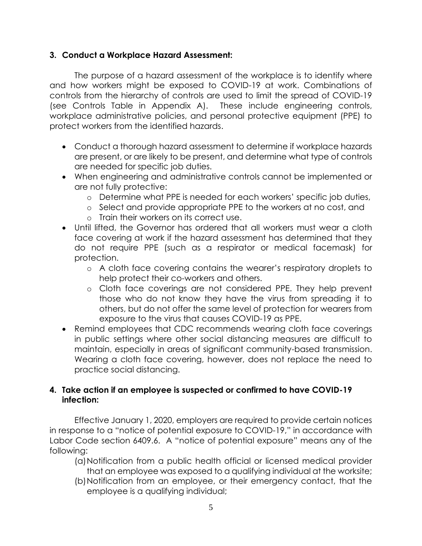#### **3. Conduct a Workplace Hazard Assessment:**

The purpose of a hazard assessment of the workplace is to identify where and how workers might be exposed to COVID-19 at work. Combinations of controls from the hierarchy of controls are used to limit the spread of COVID-19 (see Controls Table in Appendix A). These include engineering controls, workplace administrative policies, and personal protective equipment (PPE) to protect workers from the identified hazards.

- Conduct a thorough hazard assessment to determine if workplace hazards are present, or are likely to be present, and determine what type of controls are needed for specific job duties.
- When engineering and administrative controls cannot be implemented or are not fully protective:
	- o Determine what PPE is needed for each workers' specific job duties,
	- o Select and provide appropriate PPE to the workers at no cost, and
	- o Train their workers on its correct use.
- Until lifted, the Governor has ordered that all workers must wear a cloth face covering at work if the hazard assessment has determined that they do not require PPE (such as a respirator or medical facemask) for protection.
	- o A cloth face covering contains the wearer's respiratory droplets to help protect their co-workers and others.
	- o Cloth face coverings are not considered PPE. They help prevent those who do not know they have the virus from spreading it to others, but do not offer the same level of protection for wearers from exposure to the virus that causes COVID-19 as PPE.
- Remind employees that CDC recommends wearing cloth face coverings in public settings where other social distancing measures are difficult to maintain, especially in areas of significant community-based transmission. Wearing a cloth face covering, however, does not replace the need to practice social distancing.

## **4. Take action if an employee is suspected or confirmed to have COVID-19 infection:**

Effective January 1, 2020, employers are required to provide certain notices in response to a "notice of potential exposure to COVID-19," in accordance with Labor Code section 6409.6. A "notice of potential exposure" means any of the following:

- (a)Notification from a public health official or licensed medical provider that an employee was exposed to a qualifying individual at the worksite;
- (b)Notification from an employee, or their emergency contact, that the employee is a qualifying individual;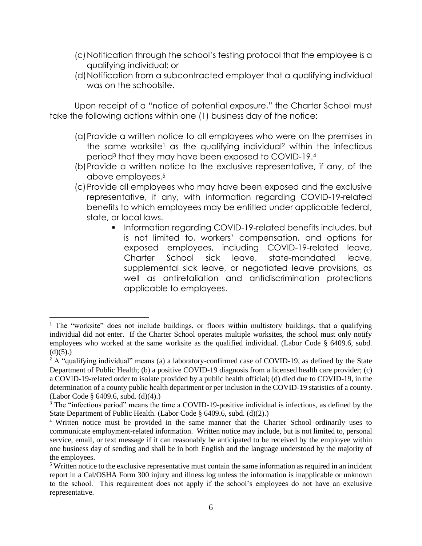- (c)Notification through the school's testing protocol that the employee is a qualifying individual; or
- (d)Notification from a subcontracted employer that a qualifying individual was on the schoolsite.

Upon receipt of a "notice of potential exposure," the Charter School must take the following actions within one (1) business day of the notice:

- (a)Provide a written notice to all employees who were on the premises in the same worksite<sup>1</sup> as the qualifying individual<sup>2</sup> within the infectious period<sup>3</sup> that they may have been exposed to COVID-19.<sup>4</sup>
- (b)Provide a written notice to the exclusive representative, if any, of the above employees.<sup>5</sup>
- (c)Provide all employees who may have been exposed and the exclusive representative, if any, with information regarding COVID-19-related benefits to which employees may be entitled under applicable federal, state, or local laws.
	- Information regarding COVID-19-related benefits includes, but is not limited to, workers' compensation, and options for exposed employees, including COVID-19-related leave, Charter School sick leave, state-mandated leave, supplemental sick leave, or negotiated leave provisions, as well as antiretaliation and antidiscrimination protections applicable to employees.

<sup>&</sup>lt;sup>1</sup> The "worksite" does not include buildings, or floors within multistory buildings, that a qualifying individual did not enter. If the Charter School operates multiple worksites, the school must only notify employees who worked at the same worksite as the qualified individual. (Labor Code § 6409.6, subd.  $(d)(5)$ .)

<sup>&</sup>lt;sup>2</sup> A "qualifying individual" means (a) a laboratory-confirmed case of COVID-19, as defined by the State Department of Public Health; (b) a positive COVID-19 diagnosis from a licensed health care provider; (c) a COVID-19-related order to isolate provided by a public health official; (d) died due to COVID-19, in the determination of a county public health department or per inclusion in the COVID-19 statistics of a county. (Labor Code § 6409.6, subd. (d)(4).)

<sup>&</sup>lt;sup>3</sup> The "infectious period" means the time a COVID-19-positive individual is infectious, as defined by the State Department of Public Health. (Labor Code § 6409.6, subd. (d)(2).)

<sup>4</sup> Written notice must be provided in the same manner that the Charter School ordinarily uses to communicate employment-related information. Written notice may include, but is not limited to, personal service, email, or text message if it can reasonably be anticipated to be received by the employee within one business day of sending and shall be in both English and the language understood by the majority of the employees.

<sup>5</sup> Written notice to the exclusive representative must contain the same information as required in an incident report in a Cal/OSHA Form 300 injury and illness log unless the information is inapplicable or unknown to the school. This requirement does not apply if the school's employees do not have an exclusive representative.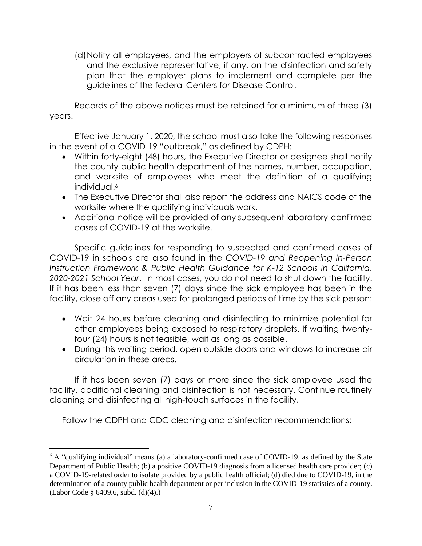(d)Notify all employees, and the employers of subcontracted employees and the exclusive representative, if any, on the disinfection and safety plan that the employer plans to implement and complete per the guidelines of the federal Centers for Disease Control.

Records of the above notices must be retained for a minimum of three (3) years.

Effective January 1, 2020, the school must also take the following responses in the event of a COVID-19 "outbreak," as defined by CDPH:

- Within forty-eight (48) hours, the Executive Director or designee shall notify the county public health department of the names, number, occupation, and worksite of employees who meet the definition of a qualifying individual.<sup>6</sup>
- The Executive Director shall also report the address and NAICS code of the worksite where the qualifying individuals work.
- Additional notice will be provided of any subsequent laboratory-confirmed cases of COVID-19 at the worksite.

Specific guidelines for responding to suspected and confirmed cases of COVID-19 in schools are also found in the *COVID-19 and Reopening In-Person Instruction Framework & Public Health Guidance for K-12 Schools in California, 2020-2021 School Year*. In most cases, you do not need to shut down the facility. If it has been less than seven (7) days since the sick employee has been in the facility, close off any areas used for prolonged periods of time by the sick person:

- Wait 24 hours before cleaning and disinfecting to minimize potential for other employees being exposed to respiratory droplets. If waiting twentyfour (24) hours is not feasible, wait as long as possible.
- During this waiting period, open outside doors and windows to increase air circulation in these areas.

If it has been seven (7) days or more since the sick employee used the facility, additional cleaning and disinfection is not necessary. Continue routinely cleaning and disinfecting all high-touch surfaces in the facility.

Follow the CDPH and CDC cleaning and disinfection recommendations:

<sup>6</sup> A "qualifying individual" means (a) a laboratory-confirmed case of COVID-19, as defined by the State Department of Public Health; (b) a positive COVID-19 diagnosis from a licensed health care provider; (c) a COVID-19-related order to isolate provided by a public health official; (d) died due to COVID-19, in the determination of a county public health department or per inclusion in the COVID-19 statistics of a county. (Labor Code § 6409.6, subd. (d)(4).)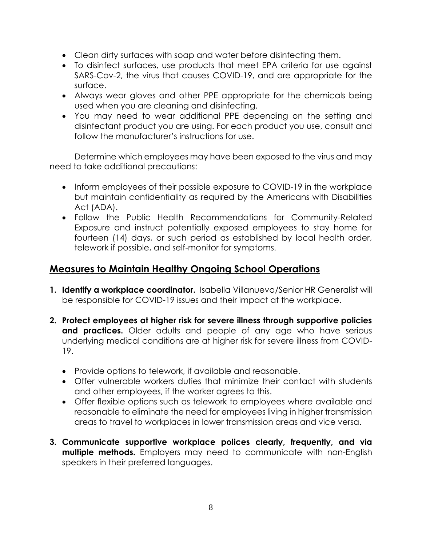- Clean dirty surfaces with soap and water before disinfecting them.
- To disinfect surfaces, use products that meet EPA criteria for use against SARS-Cov-2, the virus that causes COVID-19, and are appropriate for the surface.
- Always wear gloves and other PPE appropriate for the chemicals being used when you are cleaning and disinfecting.
- You may need to wear additional PPE depending on the setting and disinfectant product you are using. For each product you use, consult and follow the manufacturer's instructions for use.

Determine which employees may have been exposed to the virus and may need to take additional precautions:

- Inform employees of their possible exposure to COVID-19 in the workplace but maintain confidentiality as required by the Americans with Disabilities Act (ADA).
- Follow the Public Health Recommendations for Community-Related Exposure and instruct potentially exposed employees to stay home for fourteen (14) days, or such period as established by local health order, telework if possible, and self-monitor for symptoms.

# **Measures to Maintain Healthy Ongoing School Operations**

- **1. Identify a workplace coordinator.** Isabella Villanueva/Senior HR Generalist will be responsible for COVID-19 issues and their impact at the workplace.
- **2. Protect employees at higher risk for severe illness through supportive policies**  and practices. Older adults and people of any age who have serious underlying medical conditions are at higher risk for severe illness from COVID-19.
	- Provide options to telework, if available and reasonable.
	- Offer vulnerable workers duties that minimize their contact with students and other employees, if the worker agrees to this.
	- Offer flexible options such as telework to employees where available and reasonable to eliminate the need for employees living in higher transmission areas to travel to workplaces in lower transmission areas and vice versa.
- **3. Communicate supportive workplace polices clearly, frequently, and via multiple methods.** Employers may need to communicate with non-English speakers in their preferred languages.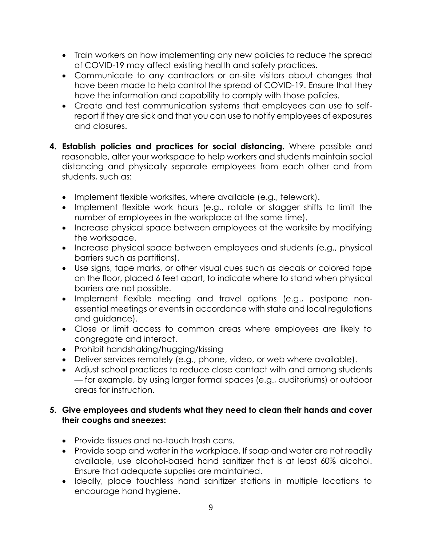- Train workers on how implementing any new policies to reduce the spread of COVID-19 may affect existing health and safety practices.
- Communicate to any contractors or on-site visitors about changes that have been made to help control the spread of COVID-19. Ensure that they have the information and capability to comply with those policies.
- Create and test communication systems that employees can use to selfreport if they are sick and that you can use to notify employees of exposures and closures.
- **4. Establish policies and practices for social distancing.** Where possible and reasonable, alter your workspace to help workers and students maintain social distancing and physically separate employees from each other and from students, such as:
	- Implement flexible worksites, where available (e.g., telework).
	- Implement flexible work hours (e.g., rotate or stagger shifts to limit the number of employees in the workplace at the same time).
	- Increase physical space between employees at the worksite by modifying the workspace.
	- Increase physical space between employees and students (e.g., physical barriers such as partitions).
	- Use signs, tape marks, or other visual cues such as decals or colored tape on the floor, placed 6 feet apart, to indicate where to stand when physical barriers are not possible.
	- Implement flexible meeting and travel options (e.g., postpone nonessential meetings or events in accordance with state and local regulations and guidance).
	- Close or limit access to common areas where employees are likely to congregate and interact.
	- Prohibit handshaking/hugging/kissing
	- Deliver services remotely (e.g., phone, video, or web where available).
	- Adjust school practices to reduce close contact with and among students — for example, by using larger formal spaces (e.g., auditoriums) or outdoor areas for instruction.

#### **5. Give employees and students what they need to clean their hands and cover their coughs and sneezes:**

- Provide tissues and no-touch trash cans.
- Provide soap and water in the workplace. If soap and water are not readily available, use alcohol-based hand sanitizer that is at least 60% alcohol. Ensure that adequate supplies are maintained.
- Ideally, place touchless hand sanitizer stations in multiple locations to encourage hand hygiene.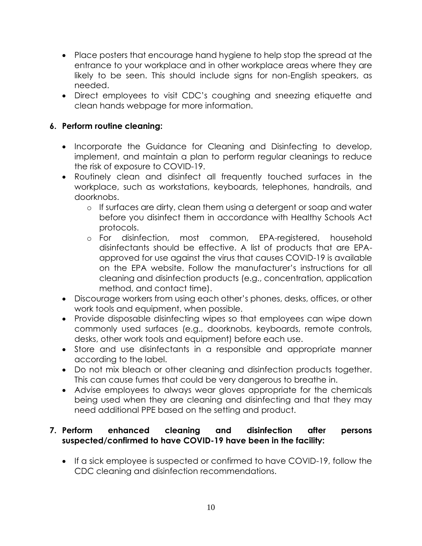- Place posters that encourage hand hygiene to help stop the spread at the entrance to your workplace and in other workplace areas where they are likely to be seen. This should include signs for non-English speakers, as needed.
- Direct employees to visit CDC's coughing and sneezing etiquette and clean hands webpage for more information.

## **6. Perform routine cleaning:**

- Incorporate the Guidance for Cleaning and Disinfecting to develop, implement, and maintain a plan to perform regular cleanings to reduce the risk of exposure to COVID-19.
- Routinely clean and disinfect all frequently touched surfaces in the workplace, such as workstations, keyboards, telephones, handrails, and doorknobs.
	- o If surfaces are dirty, clean them using a detergent or soap and water before you disinfect them in accordance with Healthy Schools Act protocols.
	- o For disinfection, most common, EPA-registered, household disinfectants should be effective. A list of products that are EPAapproved for use against the virus that causes COVID-19 is available on the EPA website. Follow the manufacturer's instructions for all cleaning and disinfection products (e.g., concentration, application method, and contact time).
- Discourage workers from using each other's phones, desks, offices, or other work tools and equipment, when possible.
- Provide disposable disinfecting wipes so that employees can wipe down commonly used surfaces (e.g., doorknobs, keyboards, remote controls, desks, other work tools and equipment) before each use.
- Store and use disinfectants in a responsible and appropriate manner according to the label.
- Do not mix bleach or other cleaning and disinfection products together. This can cause fumes that could be very dangerous to breathe in.
- Advise employees to always wear gloves appropriate for the chemicals being used when they are cleaning and disinfecting and that they may need additional PPE based on the setting and product.

#### **7. Perform enhanced cleaning and disinfection after persons suspected/confirmed to have COVID-19 have been in the facility:**

• If a sick employee is suspected or confirmed to have COVID-19, follow the CDC cleaning and disinfection recommendations.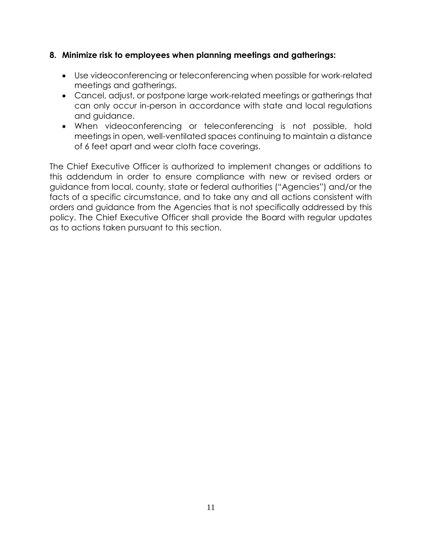#### **8. Minimize risk to employees when planning meetings and gatherings:**

- Use videoconferencing or teleconferencing when possible for work-related meetings and gatherings.
- Cancel, adjust, or postpone large work-related meetings or gatherings that can only occur in-person in accordance with state and local regulations and guidance.
- When videoconferencing or teleconferencing is not possible, hold meetings in open, well-ventilated spaces continuing to maintain a distance of 6 feet apart and wear cloth face coverings.

The Chief Executive Officer is authorized to implement changes or additions to this addendum in order to ensure compliance with new or revised orders or guidance from local, county, state or federal authorities ("Agencies") and/or the facts of a specific circumstance, and to take any and all actions consistent with orders and guidance from the Agencies that is not specifically addressed by this policy. The Chief Executive Officer shall provide the Board with regular updates as to actions taken pursuant to this section.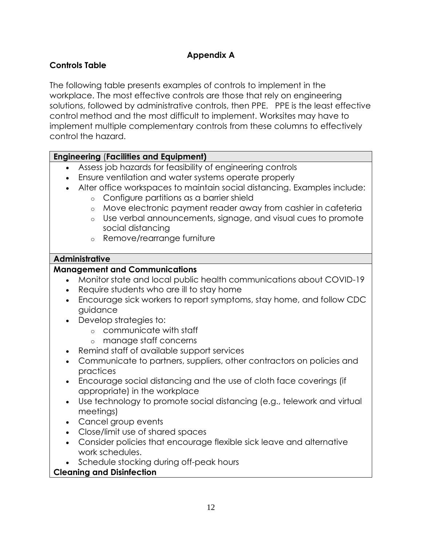# **Appendix A**

# **Controls Table**

The following table presents examples of controls to implement in the workplace. The most effective controls are those that rely on engineering solutions, followed by administrative controls, then PPE. PPE is the least effective control method and the most difficult to implement. Worksites may have to implement multiple complementary controls from these columns to effectively control the hazard.

#### **Engineering** (**Facilities and Equipment)**

- Assess job hazards for feasibility of engineering controls
- Ensure ventilation and water systems operate properly
- Alter office workspaces to maintain social distancing. Examples include:
	- o Configure partitions as a barrier shield
	- o Move electronic payment reader away from cashier in cafeteria
	- o Use verbal announcements, signage, and visual cues to promote social distancing
	- o Remove/rearrange furniture

#### **Administrative**

## **Management and Communications**

- Monitor state and local public health communications about COVID-19
- Require students who are ill to stay home
- Encourage sick workers to report symptoms, stay home, and follow CDC guidance
- Develop strategies to:
	- o communicate with staff
	- o manage staff concerns
- Remind staff of available support services
- Communicate to partners, suppliers, other contractors on policies and practices
- Encourage social distancing and the use of cloth face coverings (if appropriate) in the workplace
- Use technology to promote social distancing (e.g., telework and virtual meetings)
- Cancel group events
- Close/limit use of shared spaces
- Consider policies that encourage flexible sick leave and alternative work schedules.
- Schedule stocking during off-peak hours

## **Cleaning and Disinfection**